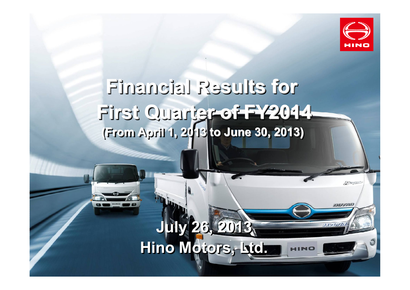

**FARAGES** 

Hond

## **Financial Results for First Quarter of FY2014 (From April 1, 2013 to June 30, 2013) (From April 1, 2013 to June 30, 2013) (From April 1, 2013 to June 30, 2013)**

## **July 26, 2013 Hino Motors, Ltd.**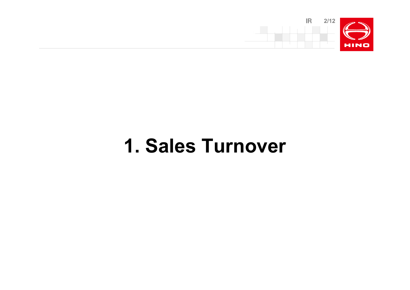

# **1. Sales Turnover**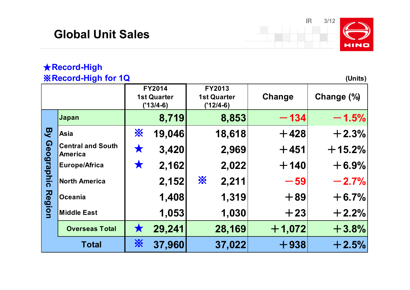### **Global Unit Sales**



### ★**Record-High** ※**Record-High for 1Q (Units)**

|               |                                            | <b>FY2014</b><br><b>1st Quarter</b><br>$('13/4-6)$ |        | FY2013<br><b>1st Quarter</b><br>$('12/4-6)$ | Change   | Change (%) |
|---------------|--------------------------------------------|----------------------------------------------------|--------|---------------------------------------------|----------|------------|
|               | Japan                                      |                                                    | 8,719  | 8,853                                       | $-134$   | $-1.5%$    |
| D<br>人        | Asia                                       | <b>X</b>                                           | 19,046 | 18,618                                      | $+428$   | $+2.3%$    |
| Geographic    | <b>Central and South</b><br><b>America</b> | ★                                                  | 3,420  | 2,969                                       | $+451$   | $+15.2%$   |
|               | <b>Europe/Africa</b>                       | X                                                  | 2,162  | 2,022                                       | $+140$   | $+6.9%$    |
| <b>Region</b> | <b>North America</b>                       |                                                    | 2,152  | $\frac{1}{2}$<br>2,211                      | $-59$    | $-2.7%$    |
|               | <b>Oceania</b>                             |                                                    | 1,408  | 1,319                                       | $+89$    | $+6.7%$    |
|               | <b>Middle East</b>                         |                                                    | 1,053  | 1,030                                       | $+23$    | $+2.2%$    |
|               | <b>Overseas Total</b>                      | ★                                                  | 29,241 | 28,169                                      | $+1,072$ | $+3.8%$    |
|               | <b>Total</b>                               | <mark>※</mark>                                     | 37,960 | 37,022                                      | $+938$   | $+2.5%$    |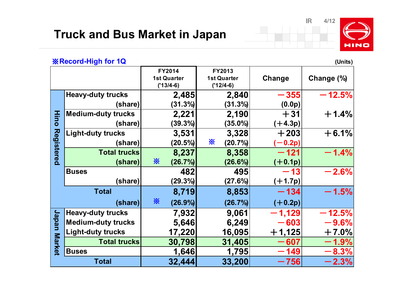

#### ※**Record-High for 1Q (Units)**

**Change Change (%) Heavy-duty trucks**  $\vert$  2,485 2,840 - 355 - 12.5% **(share) (31.3%) (31.3%) (0.0p) Medium-duty trucks 2,221 2,190** +**31** +**1.4% (share) (39.3%) (35.0%) (**+**4.3p) Light-duty trucks 3,531 3,328** +**203** +**6.1% (share) (20.5%) (20.7%) (**-**0.2p)**  $\text{Total trucks}$  **8,237 8,358**  $-121$   $-1.4\%$  $(\text{share})$   $\frac{1}{26}$   $(26.7\%)$   $(26.6\%)$   $(+0.1p)$ **Buses 482 495** -**13** -**2.6% (share) (29.3%) (27.6%) (**+**1.7p) Total 8,719 8,853** -**134** -**1.5%**  $(\text{share})$   $\frac{1}{26}$   $(26.9\%)$   $(26.7\%)$   $(+0.2p)$ **Heavy-duty trucks** | 7,932 9,061 - 1,129 - 12.5% **Medium-duty trucks** | 5,646 6,249 - 603 - 9.6% **Light-duty trucks 17,220 16,095** +**1,125** +**7.0% Total trucks 30,798** 31,405 - 607 - 1.9% **Buses 1,646 1,795** -**149** -**8.3%**  $Total$  **32,444 33,200**  $-756$   $-2.3\%$ **FY2014 1st Quarter ('13/4-6) FY2013 1st Quarter ('12/4-6) Hin o R e gistere d** <u>ب</u> **a p** <u>ه</u> **M a r k e t** ※ ※ ※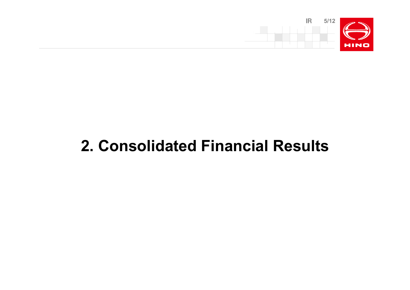

## **2. Consolidated Financial Results**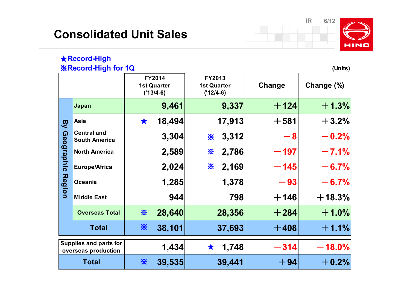### **Consolidated Unit Sales**

※



### ★**Record-High**

#### ※**Record-High for 1Q (Units)**

|                                                      |                                            | FY2014<br><b>1st Quarter</b><br>$('13/4-6)$ |        | FY2013<br><b>1st Quarter</b><br>$('12/4-6)$ | Change | Change (%) |
|------------------------------------------------------|--------------------------------------------|---------------------------------------------|--------|---------------------------------------------|--------|------------|
|                                                      | Japan                                      |                                             | 9,461  | 9,337                                       | $+124$ | $+1.3%$    |
| <b>B</b>                                             | Asia                                       | $\bigstar$                                  | 18,494 | 17,913                                      | $+581$ | $+3.2%$    |
| <b>Geographic</b>                                    | <b>Central and</b><br><b>South America</b> |                                             | 3,304  | 3,312<br>☀                                  | - 8    | $-0.2%$    |
|                                                      | <b>North America</b>                       |                                             | 2,589  | 2,786<br>☀                                  | $-197$ | $-7.1%$    |
|                                                      | Europe/Africa                              |                                             | 2,024  | 2,169<br>⋇                                  | $-145$ | $-6.7%$    |
| Region                                               | <b>Oceania</b>                             |                                             | 1,285  | 1,378                                       | $-93$  | $-6.7%$    |
|                                                      | <b>Middle East</b>                         |                                             | 944    | 798                                         | $+146$ | $+18.3%$   |
|                                                      | <b>Overseas Total</b>                      | ☀                                           | 28,640 | 28,356                                      | $+284$ | $+1.0%$    |
|                                                      | <b>Total</b>                               | ☀                                           | 38,101 | 37,693                                      | $+408$ | $+1.1%$    |
| <b>Supplies and parts for</b><br>overseas production |                                            |                                             | 1,434  | 1,748                                       | $-314$ | $-18.0\%$  |

Total **39,535** 39,441 +  $\frac{1}{2}\%$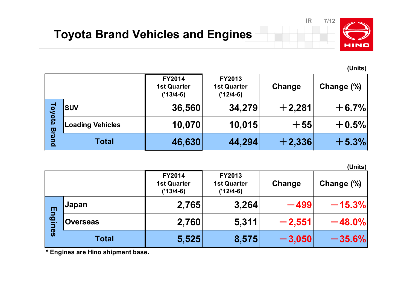

**(Units)**

|                                     |                         | <b>FY2014</b><br><b>1st Quarter</b><br>$('13/4-6)$ | <b>FY2013</b><br><b>1st Quarter</b><br>$('12/4-6)$ | Change   | Change (%) |
|-------------------------------------|-------------------------|----------------------------------------------------|----------------------------------------------------|----------|------------|
| Foyota<br>Bra<br>$\bar{\mathbf{Q}}$ | <b>SUV</b>              | 36,560                                             | 34,279                                             | $+2,281$ | $+6.7%$    |
|                                     | <b>Loading Vehicles</b> | 10,070                                             | 10,015                                             | $+55$    | $+0.5%$    |
|                                     | <b>Total</b>            | 46,630                                             | 44,294                                             | $+2,336$ | $+5.3%$    |

**(Units)**

|                                  |                 | <b>FY2014</b><br><b>1st Quarter</b><br>$('13/4-6)$ | FY2013<br><b>1st Quarter</b><br>$('12/4-6)$ | Change   | Change (%) |
|----------------------------------|-----------------|----------------------------------------------------|---------------------------------------------|----------|------------|
| Engin<br>$\overline{\mathbf{e}}$ | Japan           | 2,765                                              | 3,264                                       | $-499$   | $-15.3%$   |
|                                  | <b>Overseas</b> | 2,760                                              | 5,311                                       | $-2,551$ | $-48.0\%$  |
|                                  | <b>Total</b>    | 5,525                                              | 8,575                                       | $-3,050$ | $-35.6\%$  |

**\* Engines are Hino shipment base.**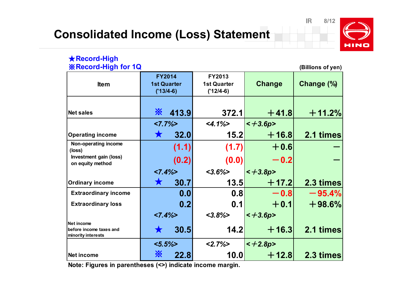

#### ★**Record-High** ※**Record-High for 1Q (Billions of yen)**

| <b>Item</b>                                                        | <b>FY2014</b><br><b>1st Quarter</b><br>$('13/4-6)$ |       | FY2013<br><b>1st Quarter</b><br>$('12/4-6)$ | <b>Change</b> | Change (%) |
|--------------------------------------------------------------------|----------------------------------------------------|-------|---------------------------------------------|---------------|------------|
| <b>Net sales</b>                                                   | ፠                                                  | 413.9 | 372.1                                       | $+41.8$       | $+11.2%$   |
|                                                                    | $27.7\%$                                           |       | $<$ 4.1%>                                   | $\leq +3.6p$  |            |
| <b>Operating income</b>                                            |                                                    | 32.0  | 15.2                                        | $+16.8$       | 2.1 times  |
| Non-operating income<br>(loss)                                     |                                                    | (1.1) | (1.7)                                       | $+0.6$        |            |
| Investment gain (loss)<br>(0.2)<br>on equity method                |                                                    | (0.0) | $-0.2$                                      |               |            |
|                                                                    | $<7.4\%>$                                          |       | $<3.6\%>$                                   | $\leq +3.8p$  |            |
| <b>Ordinary income</b>                                             |                                                    | 30.7  | 13.5                                        | $+$ 17.2      | 2.3 times  |
| <b>Extraordinary income</b>                                        |                                                    | 0.0   | 0.8                                         | $-0.8$        | $-95.4%$   |
| <b>Extraordinary loss</b>                                          |                                                    | 0.2   | 0.1                                         | $+0.1$        | $+98.6%$   |
|                                                                    | $<7.4\%>$                                          |       | $<3.8\%>$                                   | $< +3.6p$     |            |
| <b>Net income</b><br>before income taxes and<br>minority interests |                                                    | 30.5  | 14.2                                        | $+16.3$       | 2.1 times  |
|                                                                    | $< 5.5\%$                                          |       | $2.7\%$                                     | $< +2.8p$     |            |
| <b>Net income</b>                                                  | ፠                                                  | 22.8  | 10.0                                        | $+ 12.8$      | 2.3 times  |

**Note: Figures in parentheses (<>) indicate income margin.**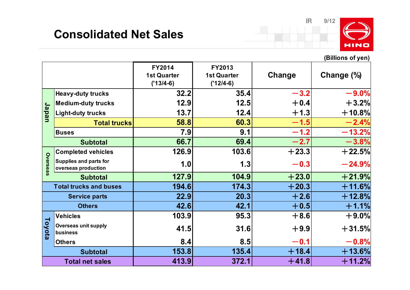### **Consolidated Net Sales**



**(Billions of yen)**

|                        |                                               | <b>FY2014</b><br><b>1st Quarter</b><br>$('13/4-6)$ | FY2013<br><b>1st Quarter</b><br>$('12/4-6)$ | Change  | Change $(\%)$ |
|------------------------|-----------------------------------------------|----------------------------------------------------|---------------------------------------------|---------|---------------|
|                        | <b>Heavy-duty trucks</b>                      | 32.2                                               | 35.4                                        | $-3.2$  | $-9.0%$       |
|                        | Medium-duty trucks                            | 12.9                                               | 12.5                                        | $+0.4$  | $+3.2%$       |
| Japan                  | <b>Light-duty trucks</b>                      | 13.7                                               | 12.4                                        | $+1.3$  | $+10.8%$      |
|                        | <b>Total trucks</b>                           | 58.8                                               | 60.3                                        | $-1.5$  | $-2.4%$       |
|                        | <b>Buses</b>                                  | 7.9                                                | 9.1                                         | $-1.2$  | $-13.2%$      |
|                        | <b>Subtotal</b>                               | 66.7                                               | 69.4                                        | $-2.7$  | $-3.8%$       |
|                        | <b>Completed vehicles</b>                     | 126.9                                              | 103.6                                       | $+23.3$ | $+22.5%$      |
| Overseas               | Supplies and parts for<br>overseas production | 1.0                                                | 1.3                                         | $-0.3$  | $-24.9%$      |
|                        | <b>Subtotal</b>                               | 127.9                                              | 104.9                                       | $+23.0$ | $+21.9%$      |
|                        | <b>Total trucks and buses</b>                 | 194.6                                              | 174.3                                       | $+20.3$ | $+11.6%$      |
|                        | <b>Service parts</b>                          | 22.9                                               | 20.3                                        | $+2.6$  | $+12.8%$      |
|                        | <b>Others</b>                                 | 42.6                                               | 42.1                                        | $+0.5$  | $+1.1%$       |
|                        | <b>Vehicles</b>                               | 103.9                                              | 95.3                                        | $+8.6$  | $+9.0%$       |
| Toyota                 | <b>Overseas unit supply</b><br>business       | 41.5                                               | 31.6                                        | $+9.9$  | $+31.5\%$     |
|                        | <b>Others</b>                                 | 8.4                                                | 8.5                                         | $-0.1$  | $-0.8%$       |
|                        | <b>Subtotal</b>                               | 153.8                                              | 135.4                                       | $+18.4$ | $+13.6%$      |
| <b>Total net sales</b> |                                               | 413.9                                              | 372.1                                       | $+41.8$ | $+11.2%$      |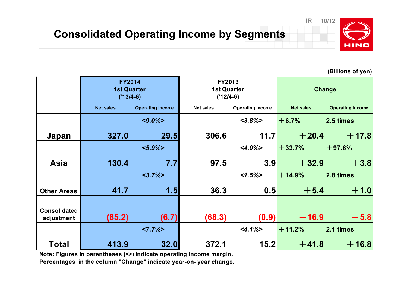

**(Billions of yen)**

|                                   | <b>FY2014</b><br><b>1st Quarter</b><br>$('13/4-6)$ |                         | FY2013<br><b>1st Quarter</b><br>$('12/4-6)$ |                         | Change           |                         |
|-----------------------------------|----------------------------------------------------|-------------------------|---------------------------------------------|-------------------------|------------------|-------------------------|
|                                   | <b>Net sales</b>                                   | <b>Operating income</b> | <b>Net sales</b>                            | <b>Operating income</b> | <b>Net sales</b> | <b>Operating income</b> |
|                                   |                                                    | $< 9.0\% >$             |                                             | $<3.8\%>$               | $+6.7%$          | 2.5 times               |
| Japan                             | 327.0                                              | 29.5                    | 306.6                                       | 11.7                    | $+20.4$          | $+17.8$                 |
|                                   |                                                    | $< 5.9\% >$             |                                             | $<4.0\%$                | $+33.7%$         | $+97.6%$                |
| <b>Asia</b>                       | 130.4                                              | 7.7                     | 97.5                                        | 3.9                     | $+32.9$          | $+3.8$                  |
|                                   |                                                    | $<3.7\%>$               |                                             | $1.5\%$                 | $+14.9%$         | 2.8 times               |
| <b>Other Areas</b>                | 41.7                                               | 1.5                     | 36.3                                        | 0.5                     | $+5.4$           | $+1.0$                  |
| <b>Consolidated</b><br>adjustment | (85.2)                                             | (6.7)                   | (68.3)                                      | (0.9)                   | $-16.9$          | $-5.8$                  |
|                                   |                                                    | $<7.7\%>$               |                                             | $<4.1\%>$               | $+11.2%$         | 2.1 times               |
| <b>Total</b>                      | 413.9                                              | 32.0                    | 372.1                                       | 15.2                    | $+41.8$          | $+16.8$                 |

 **Note: Figures in parentheses (<>) indicate operating income margin. Percentages in the column "Change" indicate year-on- year change.**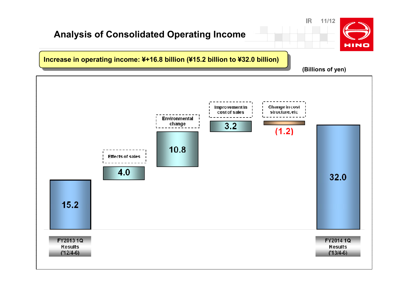